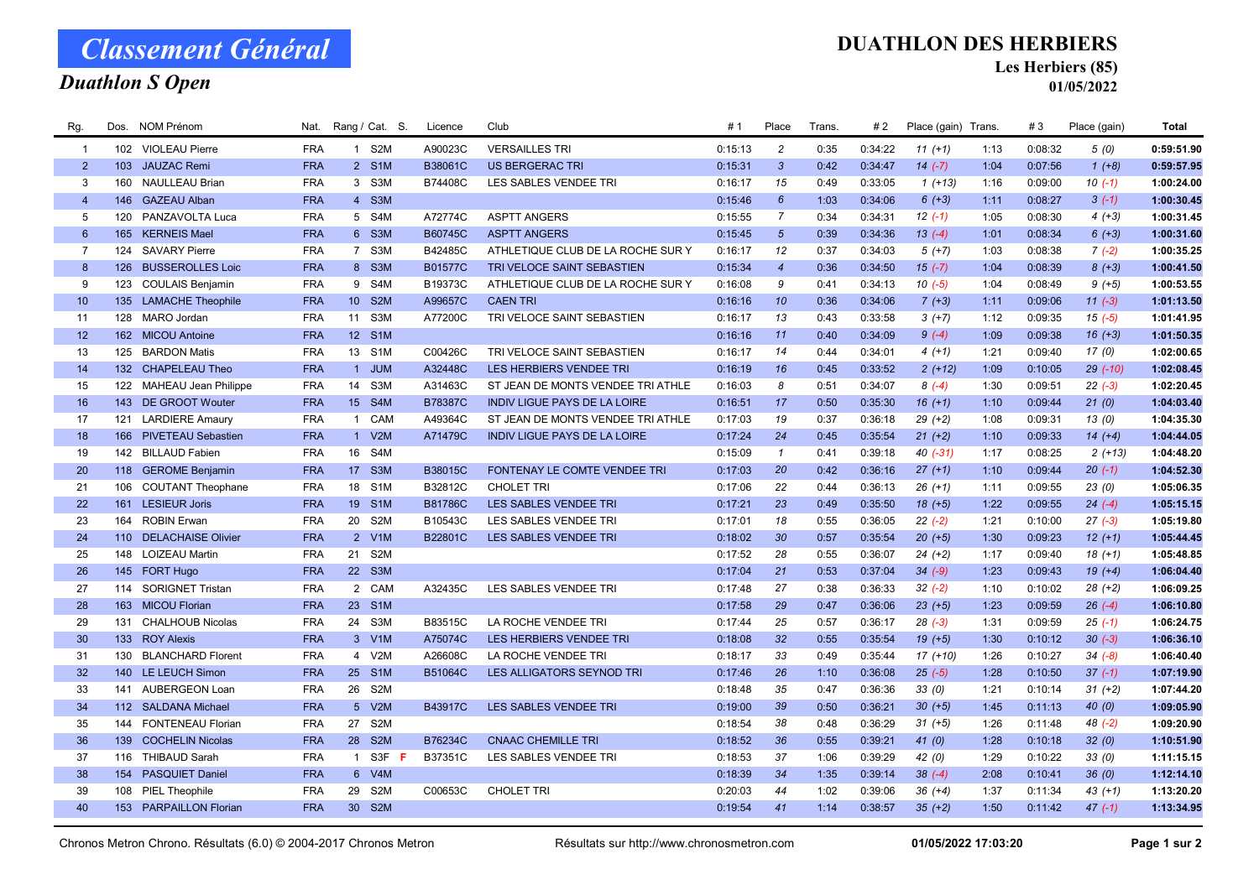# Classement Général

## Duathlon S Open

#### DUATHLON DES HERBIERS

Les Herbiers (85)

01/05/2022

| Rg.             | Dos. | NOM Prénom               | Nat.       |                 | Rang / Cat. S.   | Licence        | Club                                | # 1     | Place           | <b>Trans</b> | #2      | Place (gain) Trans. |      | #3      | Place (gain) | Total      |
|-----------------|------|--------------------------|------------|-----------------|------------------|----------------|-------------------------------------|---------|-----------------|--------------|---------|---------------------|------|---------|--------------|------------|
| $\overline{1}$  |      | 102 VIOLEAU Pierre       | <b>FRA</b> |                 | 1 S2M            | A90023C        | <b>VERSAILLES TRI</b>               | 0:15:13 | $\overline{c}$  | 0:35         | 0:34:22 | $11 (+1)$           | 1:13 | 0:08:32 | 5(0)         | 0:59:51.90 |
| $\overline{2}$  | 103  | <b>JAUZAC Remi</b>       | <b>FRA</b> |                 | 2 S1M            | B38061C        | <b>US BERGERAC TRI</b>              | 0:15:31 | $\mathbf{3}$    | 0:42         | 0:34:47 | $14 (-7)$           | 1:04 | 0:07:56 | $1 (+8)$     | 0:59:57.95 |
| 3               | 160  | <b>NAULLEAU Brian</b>    | <b>FRA</b> |                 | 3 S3M            | B74408C        | LES SABLES VENDEE TRI               | 0:16:17 | 15              | 0:49         | 0:33:05 | $1 (+13)$           | 1:16 | 0:09:00 | $10(-1)$     | 1:00:24.00 |
| $\overline{4}$  |      | 146 GAZEAU Alban         | <b>FRA</b> |                 | 4 S3M            |                |                                     | 0:15:46 | $6\overline{6}$ | 1:03         | 0:34:06 | $6 (+3)$            | 1:11 | 0:08:27 | $3(-1)$      | 1:00:30.45 |
| 5               | 120  | PANZAVOLTA Luca          | <b>FRA</b> |                 | 5 S4M            | A72774C        | <b>ASPTT ANGERS</b>                 | 0:15:55 | $\overline{7}$  | 0:34         | 0:34:31 | $12(-1)$            | 1:05 | 0:08:30 | $4(+3)$      | 1:00:31.45 |
| $6\overline{6}$ |      | 165 KERNEIS Mael         | <b>FRA</b> |                 | 6 S3M            | B60745C        | <b>ASPTT ANGERS</b>                 | 0:15:45 | $5\overline{)}$ | 0:39         | 0:34:36 | $13(-4)$            | 1:01 | 0:08:34 | $6 (+3)$     | 1:00:31.60 |
| $\overline{7}$  | 124  | <b>SAVARY Pierre</b>     | <b>FRA</b> |                 | 7 S3M            | B42485C        | ATHLETIQUE CLUB DE LA ROCHE SUR Y   | 0:16:17 | 12              | 0:37         | 0:34:03 | $5(+7)$             | 1:03 | 0:08:38 | $7(-2)$      | 1:00:35.25 |
| 8               |      | 126 BUSSEROLLES Loic     | <b>FRA</b> |                 | 8 S3M            | <b>B01577C</b> | TRI VELOCE SAINT SEBASTIEN          | 0:15:34 | $\overline{4}$  | 0:36         | 0:34:50 | $15(-7)$            | 1:04 | 0:08:39 | $8 (+3)$     | 1:00:41.50 |
| 9               |      | 123 COULAIS Benjamin     | <b>FRA</b> |                 | 9 S4M            | B19373C        | ATHLETIQUE CLUB DE LA ROCHE SUR Y   | 0:16:08 | 9               | 0:41         | 0:34:13 | $10(-5)$            | 1:04 | 0:08:49 | $9 (+5)$     | 1:00:53.55 |
| 10 <sup>°</sup> |      | 135 LAMACHE Theophile    | <b>FRA</b> | 10 <sup>°</sup> | S <sub>2M</sub>  | A99657C        | <b>CAEN TRI</b>                     | 0:16:16 | 10              | 0:36         | 0:34:06 | $7(+3)$             | 1:11 | 0:09:06 | $11 (-3)$    | 1:01:13.50 |
| 11              |      | 128 MARO Jordan          | <b>FRA</b> | 11              | S3M              | A77200C        | TRI VELOCE SAINT SEBASTIEN          | 0:16:17 | 13              | 0:43         | 0:33:58 | $3(+7)$             | 1:12 | 0:09:35 | $15(-5)$     | 1:01:41.95 |
| 12              |      | 162 MICOU Antoine        | <b>FRA</b> | 12 <sup>7</sup> | S <sub>1</sub> M |                |                                     | 0:16:16 | 11              | 0:40         | 0:34:09 | $9(-4)$             | 1:09 | 0:09:38 | $16 (+3)$    | 1:01:50.35 |
| 13              |      | 125 BARDON Matis         | <b>FRA</b> |                 | 13 S1M           | C00426C        | TRI VELOCE SAINT SEBASTIEN          | 0:16:17 | 14              | 0:44         | 0:34:01 | $4(+1)$             | 1:21 | 0:09:40 | 17(0)        | 1:02:00.65 |
| 14              |      | 132 CHAPELEAU Theo       | <b>FRA</b> |                 | 1 JUM            | A32448C        | LES HERBIERS VENDEE TRI             | 0:16:19 | 16              | 0:45         | 0:33:52 | $2(+12)$            | 1:09 | 0:10:05 | $29$ $(-10)$ | 1:02:08.45 |
| 15              |      | 122 MAHEAU Jean Philippe | <b>FRA</b> | 14              | S3M              | A31463C        | ST JEAN DE MONTS VENDEE TRI ATHLE   | 0:16:03 | 8               | 0:51         | 0:34:07 | $8(-4)$             | 1:30 | 0:09:51 | $22 (-3)$    | 1:02:20.45 |
| 16              |      | 143 DE GROOT Wouter      | <b>FRA</b> |                 | 15 S4M           | <b>B78387C</b> | <b>INDIV LIGUE PAYS DE LA LOIRE</b> | 0:16:51 | 17              | 0:50         | 0:35:30 | $16 (+1)$           | 1:10 | 0:09:44 | 21(0)        | 1:04:03.40 |
| 17              | 121  | <b>LARDIERE Amaury</b>   | <b>FRA</b> | $\overline{1}$  | CAM              | A49364C        | ST JEAN DE MONTS VENDEE TRI ATHLE   | 0:17:03 | 19              | 0:37         | 0:36:18 | $29 (+2)$           | 1:08 | 0:09:31 | 13(0)        | 1:04:35.30 |
| 18              |      | 166 PIVETEAU Sebastien   | <b>FRA</b> |                 | 1 V2M            | A71479C        | <b>INDIV LIGUE PAYS DE LA LOIRE</b> | 0:17:24 | 24              | 0:45         | 0:35:54 | $21 (+2)$           | 1:10 | 0:09:33 | $14(+4)$     | 1:04:44.05 |
| 19              |      | 142 BILLAUD Fabien       | <b>FRA</b> | 16              | S4M              |                |                                     | 0:15:09 | $\overline{1}$  | 0:41         | 0:39:18 | 40 (-31)            | 1:17 | 0:08:25 | $2(+13)$     | 1:04:48.20 |
| 20              |      | 118 GEROME Benjamin      | <b>FRA</b> |                 | 17 S3M           | B38015C        | FONTENAY LE COMTE VENDEE TRI        | 0:17:03 | 20              | 0:42         | 0:36:16 | $27 (+1)$           | 1:10 | 0:09:44 | $20(-1)$     | 1:04:52.30 |
| 21              | 106  | <b>COUTANT Theophane</b> | <b>FRA</b> | 18              | S <sub>1</sub> M | B32812C        | <b>CHOLET TRI</b>                   | 0:17:06 | 22              | 0:44         | 0:36:13 | $26 (+1)$           | 1:11 | 0:09:55 | 23(0)        | 1:05:06.35 |
| 22              |      | 161 LESIEUR Joris        | <b>FRA</b> | 19              | S <sub>1</sub> M | B81786C        | LES SABLES VENDEE TRI               | 0:17:21 | 23              | 0:49         | 0:35:50 | $18(+5)$            | 1:22 | 0:09:55 | $24 (-4)$    | 1:05:15.15 |
| 23              | 164  | <b>ROBIN Erwan</b>       | <b>FRA</b> | 20              | S <sub>2</sub> M | B10543C        | LES SABLES VENDEE TRI               | 0:17:01 | 18              | 0:55         | 0:36:05 | $22(-2)$            | 1:21 | 0:10:00 | $27(-3)$     | 1:05:19.80 |
| 24              |      | 110 DELACHAISE Olivier   | <b>FRA</b> |                 | 2 V1M            | B22801C        | LES SABLES VENDEE TRI               | 0:18:02 | 30              | 0:57         | 0:35:54 | $20 (+5)$           | 1:30 | 0:09:23 | $12 (+1)$    | 1:05:44.45 |
| 25              |      | 148 LOIZEAU Martin       | <b>FRA</b> |                 | 21 S2M           |                |                                     | 0:17:52 | 28              | 0:55         | 0:36:07 | $24 (+2)$           | 1:17 | 0:09:40 | $18(+1)$     | 1:05:48.85 |
| 26              |      | 145 FORT Hugo            | <b>FRA</b> |                 | 22 S3M           |                |                                     | 0:17:04 | 21              | 0:53         | 0:37:04 | $34 (-9)$           | 1:23 | 0:09:43 | $19(+4)$     | 1:06:04.40 |
| 27              |      | 114 SORIGNET Tristan     | <b>FRA</b> |                 | 2 CAM            | A32435C        | LES SABLES VENDEE TRI               | 0:17:48 | 27              | 0:38         | 0:36:33 | $32 (-2)$           | 1:10 | 0:10:02 | $28 (+2)$    | 1:06:09.25 |
| 28              |      | 163 MICOU Florian        | <b>FRA</b> |                 | 23 S1M           |                |                                     | 0:17:58 | 29              | 0:47         | 0:36:06 | $23 (+5)$           | 1:23 | 0:09:59 | $26(-4)$     | 1:06:10.80 |
| 29              | 131  | <b>CHALHOUB Nicolas</b>  | <b>FRA</b> | 24              | S3M              | B83515C        | LA ROCHE VENDEE TRI                 | 0:17:44 | 25              | 0:57         | 0:36:17 | $28(-3)$            | 1:31 | 0:09:59 | $25(-1)$     | 1:06:24.75 |
| 30              |      | 133 ROY Alexis           | <b>FRA</b> |                 | 3 V1M            | A75074C        | LES HERBIERS VENDEE TRI             | 0:18:08 | 32              | 0:55         | 0:35:54 | $19(+5)$            | 1:30 | 0:10:12 | $30(-3)$     | 1:06:36.10 |
| 31              | 130  | <b>BLANCHARD Florent</b> | <b>FRA</b> | $\overline{4}$  | V <sub>2</sub> M | A26608C        | LA ROCHE VENDEE TRI                 | 0:18:17 | 33              | 0:49         | 0:35:44 | $17(+10)$           | 1:26 | 0:10:27 | $34 (-8)$    | 1:06:40.40 |
| 32              |      | 140 LE LEUCH Simon       | <b>FRA</b> | 25              | S <sub>1</sub> M | B51064C        | LES ALLIGATORS SEYNOD TRI           | 0:17:46 | 26              | 1:10         | 0:36:08 | $25(-5)$            | 1:28 | 0:10:50 | $37(-1)$     | 1:07:19.90 |
| 33              | 141  | <b>AUBERGEON Loan</b>    | <b>FRA</b> | 26              | S <sub>2</sub> M |                |                                     | 0:18:48 | 35              | 0:47         | 0:36:36 | 33(0)               | 1:21 | 0:10:14 | $31 (+2)$    | 1:07:44.20 |
| 34              |      | 112 SALDANA Michael      | <b>FRA</b> |                 | 5 V2M            | B43917C        | LES SABLES VENDEE TRI               | 0:19:00 | 39              | 0:50         | 0:36:21 | $30 (+5)$           | 1:45 | 0:11:13 | 40(0)        | 1:09:05.90 |
| 35              |      | 144 FONTENEAU Florian    | <b>FRA</b> | 27              | S <sub>2</sub> M |                |                                     | 0:18:54 | 38              | 0:48         | 0:36:29 | $31 (+5)$           | 1:26 | 0:11:48 | $48(-2)$     | 1:09:20.90 |
| 36              |      | 139 COCHELIN Nicolas     | <b>FRA</b> | 28              | S <sub>2</sub> M | B76234C        | <b>CNAAC CHEMILLE TRI</b>           | 0:18:52 | 36              | 0:55         | 0:39:21 | 41(0)               | 1:28 | 0:10:18 | 32(0)        | 1:10:51.90 |
| 37              |      | 116 THIBAUD Sarah        | <b>FRA</b> | $\mathbf{1}$    | S3F F            | B37351C        | LES SABLES VENDEE TRI               | 0:18:53 | 37              | 1:06         | 0:39:29 | 42(0)               | 1:29 | 0:10:22 | 33(0)        | 1:11:15.15 |
| 38              |      | 154 PASQUIET Daniel      | <b>FRA</b> |                 | 6 V4M            |                |                                     | 0:18:39 | 34              | 1:35         | 0:39:14 | $38(-4)$            | 2:08 | 0:10:41 | 36(0)        | 1:12:14.10 |
| 39              |      | 108 PIEL Theophile       | <b>FRA</b> | 29              | S <sub>2</sub> M | C00653C        | <b>CHOLET TRI</b>                   | 0:20:03 | 44              | 1:02         | 0:39:06 | $36 (+4)$           | 1:37 | 0:11:34 | $43 (+1)$    | 1:13:20.20 |
| 40              |      | 153 PARPAILLON Florian   | <b>FRA</b> |                 | 30 S2M           |                |                                     | 0:19:54 | 41              | 1:14         | 0:38:57 | $35 (+2)$           | 1:50 | 0:11:42 | $47(-1)$     | 1:13:34.95 |
|                 |      |                          |            |                 |                  |                |                                     |         |                 |              |         |                     |      |         |              |            |

Chronos Metron Chrono. Résultats (6.0) © 2004-2017 Chronos Metron Résultats sur http://www.chronosmetron.com 01/05/2022 17:03:20 Page 1 sur 2